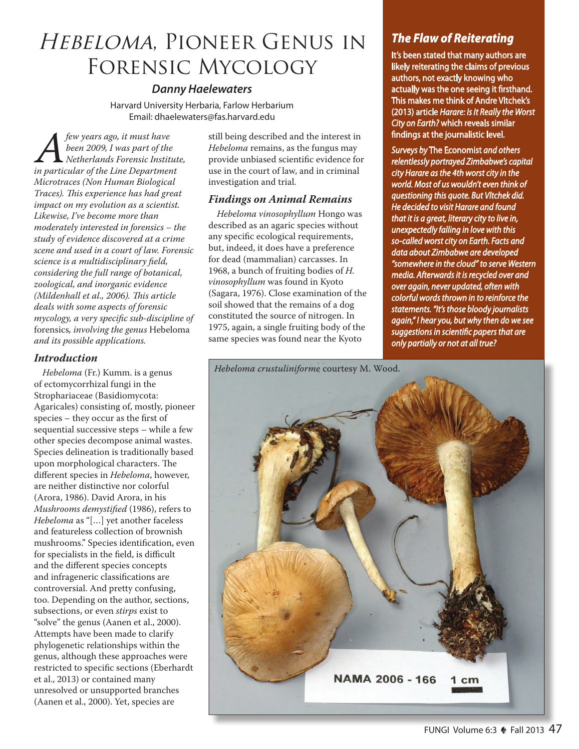# Hebeloma, Pioneer Genus in Forensic Mycology

## *Danny Haelewaters*

Harvard University Herbaria, Farlow Herbarium Email: dhaelewaters@fas.harvard.edu

*A few years ago, it must have in particular of the Line Department been 2009, I was part of the Netherlands Forensic Institute, Microtraces (Non Human Biological Traces). This experience has had great impact on my evolution as a scientist. Likewise, I've become more than moderately interested in forensics – the study of evidence discovered at a crime scene and used in a court of law. Forensic science is a multidisciplinary field, considering the full range of botanical, zoological, and inorganic evidence (Mildenhall et al., 2006). This article deals with some aspects of forensic mycology, a very specific sub-discipline of*  forensics*, involving the genus* Hebeloma *and its possible applications.*

### *Introduction*

*Hebeloma* (Fr.) Kumm. is a genus of ectomycorrhizal fungi in the Strophariaceae (Basidiomycota: Agaricales) consisting of, mostly, pioneer species – they occur as the first of sequential successive steps – while a few other species decompose animal wastes. Species delineation is traditionally based upon morphological characters. The different species in *Hebeloma*, however, are neither distinctive nor colorful (Arora, 1986). David Arora, in his *Mushrooms demystified* (1986), refers to *Hebeloma* as "[…] yet another faceless and featureless collection of brownish mushrooms." Species identification, even for specialists in the field, is difficult and the different species concepts and infrageneric classifications are controversial. And pretty confusing, too. Depending on the author, sections, subsections, or even *stirps* exist to "solve" the genus (Aanen et al., 2000). Attempts have been made to clarify phylogenetic relationships within the genus, although these approaches were restricted to specific sections (Eberhardt et al., 2013) or contained many unresolved or unsupported branches (Aanen et al., 2000). Yet, species are

still being described and the interest in *Hebeloma* remains, as the fungus may provide unbiased scientific evidence for use in the court of law, and in criminal investigation and trial.

## *Findings on Animal Remains*

*Hebeloma vinosophyllum* Hongo was described as an agaric species without any specific ecological requirements, but, indeed, it does have a preference for dead (mammalian) carcasses. In 1968, a bunch of fruiting bodies of *H. vinosophyllum* was found in Kyoto (Sagara, 1976). Close examination of the soil showed that the remains of a dog constituted the source of nitrogen. In 1975, again, a single fruiting body of the same species was found near the Kyoto

## *The Flaw of Reiterating*

It's been stated that many authors are likely reiterating the claims of previous authors, not exactly knowing who actually was the one seeing it firsthand. This makes me think of Andre Vltchek's (2013) article *Harare: Is It Really the Worst City on Earth?* which reveals similar findings at the journalistic level.

*Surveys by* The Economist *and others relentlessly portrayed Zimbabwe's capital city Harare as the 4th worst city in the world. Most of us wouldn't even think of questioning this quote. But Vltchek did. He decided to visit Harare and found that it is a great, literary city to live in, unexpectedly falling in love with this so-called worst city on Earth. Facts and data about Zimbabwe are developed "somewhere in the cloud" to serve Western media. Afterwards it is recycled over and over again, never updated, often with colorful words thrown in to reinforce the statements. "It's those bloody journalists again," I hear you, but why then do we see suggestions in scientific papers that are only partially or not at all true?*